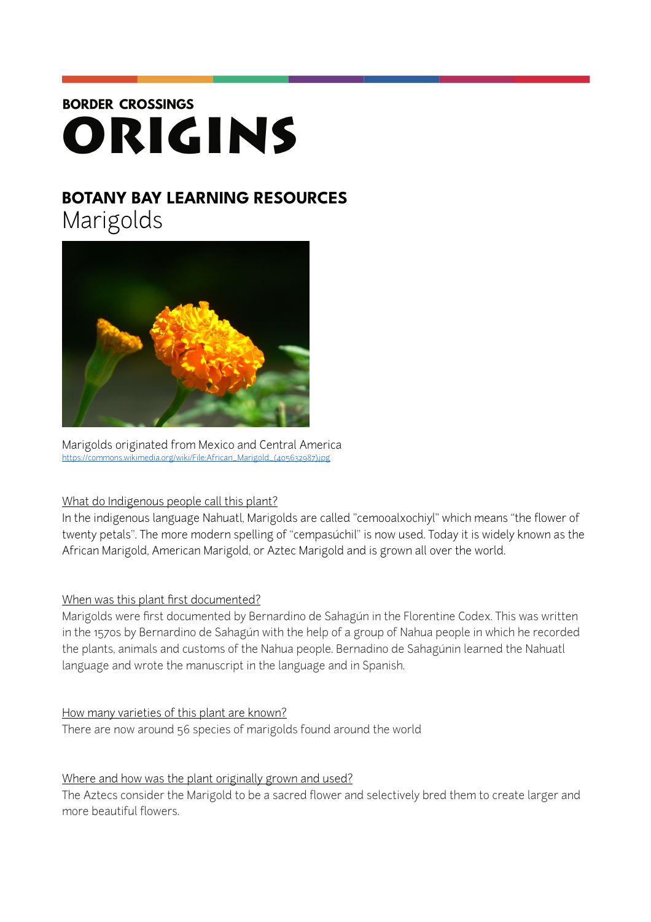# **BORDER CROSSINGS** ORIGINS

# **BOTANY BAY LEARNING RESOURCES**

Marigolds



Marigolds originated from Mexico and Central America [https://commons.wikimedia.org/wiki/File:African\\_Marigold\\_\(405632987\).jpg](https://commons.wikimedia.org/wiki/File:African_Marigold_(405632987).jpg)

# What do Indigenous people call this plant?

In the indigenous language Nahuatl, Marigolds are called "cemooalxochiyl" which means "the flower of twenty petals". The more modern spelling of "cempasúchil" is now used. Today it is widely known as the African Marigold, American Marigold, or Aztec Marigold and is grown all over the world.

# When was this plant first documented?

Marigolds were first documented by Bernardino de Sahagún in the Florentine Codex. This was written in the 1570s by Bernardino de Sahagún with the help of a group of Nahua people in which he recorded the plants, animals and customs of the Nahua people. Bernadino de Sahagúnin learned the Nahuatl language and wrote the manuscript in the language and in Spanish.

#### How many varieties of this plant are known?

There are now around 56 species of marigolds found around the world

# Where and how was the plant originally grown and used?

The Aztecs consider the Marigold to be a sacred flower and selectively bred them to create larger and more beautiful flowers.